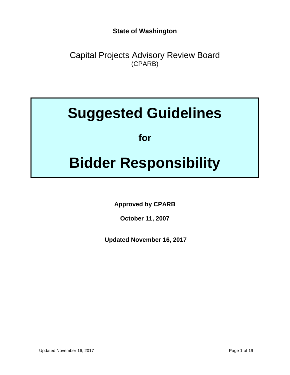**State of Washington**

Capital Projects Advisory Review Board (CPARB)

# **Suggested Guidelines**

**for**

# **Bidder Responsibility**

**Approved by CPARB** 

**October 11, 2007**

**Updated November 16, 2017**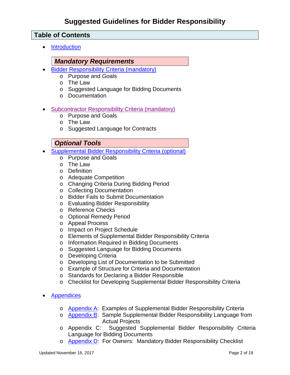### **Table of Contents**

• [Introduction](#page-3-0)

#### *Mandatory Requirements*

- [Bidder Responsibility Criteria \(mandatory\)](#page-4-0)
	- o Purpose and Goals
	- o The Law
	- o Suggested Language for Bidding Documents
	- o Documentation
- [Subcontractor Responsibility Criteria \(mandatory\)](#page-6-0)
	- o Purpose and Goals
	- o The Law
	- o Suggested Language for Contracts

### *Optional Tools*

- [Supplemental Bidder Responsibility Criteria \(optional\)](#page-8-0)
	- o Purpose and Goals
	- o The Law
	- o Definition
	- o Adequate Competition
	- o Changing Criteria During Bidding Period
	- o Collecting Documentation
	- o Bidder Fails to Submit Documentation
	- o Evaluating Bidder Responsibility
	- o Reference Checks
	- o Optional Remedy Period
	- o Appeal Process
	- o Impact on Project Schedule
	- o Elements of Supplemental Bidder Responsibility Criteria
	- o Information Required in Bidding Documents
	- o Suggested Language for Bidding Documents
	- o Developing Criteria
	- o Developing List of Documentation to be Submitted
	- o Example of Structure for Criteria and Documentation
	- o Standards for Declaring a Bidder Responsible
	- o Checklist for Developing Supplemental Bidder Responsibility Criteria
- **[Appendices](#page-19-0)** 
	- o [Appendix A:](#page-19-0) Examples of Supplemental Bidder Responsibility Criteria
	- o [Appendix B:](#page-24-0) Sample Supplemental Bidder Responsibility Language from Actual Projects
	- o Appendix C: Suggested Supplemental Bidder Responsibility Criteria Language for Bidding Documents
	- o **[Appendix D:](#page-30-0)** For Owners: Mandatory Bidder Responsibility Checklist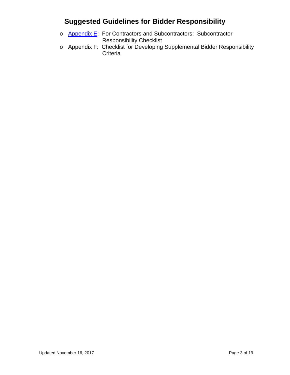- o [Appendix E:](#page-32-0) For Contractors and Subcontractors: Subcontractor Responsibility Checklist
- o Appendix F: Checklist for Developing Supplemental Bidder Responsibility **Criteria**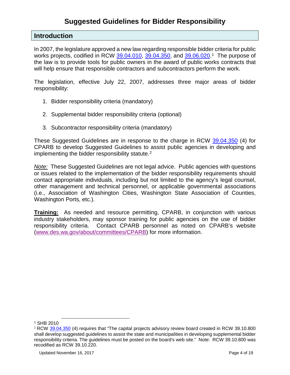#### <span id="page-3-0"></span>**Introduction**

In 2007, the legislature approved a new law regarding responsible bidder criteria for public works projects, codified in RCW [39.04.010,](https://app.leg.wa.gov/RCW/default.aspx?cite=39.04.010) [39.04.350,](https://app.leg.wa.gov/RCW/default.aspx?cite=39.04.350) and [39.06.020.](https://app.leg.wa.gov/RCW/default.aspx?cite=39.06.020)<sup>1</sup> The purpose of the law is to provide tools for public owners in the award of public works contracts that will help ensure that responsible contractors and subcontractors perform the work.

The legislation, effective July 22, 2007, addresses three major areas of bidder responsibility:

- 1. Bidder responsibility criteria (mandatory)
- 2. Supplemental bidder responsibility criteria (optional)
- 3. Subcontractor responsibility criteria (mandatory)

These Suggested Guidelines are in response to the charge in RCW [39.04.350](https://app.leg.wa.gov/RCW/default.aspx?cite=39.04.350) (4) for CPARB to develop Suggested Guidelines to assist public agencies in developing and implementing the bidder responsibility statute.<sup>[2](#page-3-2)</sup>

*Note:* These Suggested Guidelines are not legal advice. Public agencies with questions or issues related to the implementation of the bidder responsibility requirements should contact appropriate individuals, including but not limited to the agency's legal counsel, other management and technical personnel, or applicable governmental associations (i.e., Association of Washington Cities, Washington State Association of Counties, Washington Ports, etc.).

**Training:** As needed and resource permitting, CPARB, in conjunction with various industry stakeholders, may sponsor training for public agencies on the use of bidder responsibility criteria. Contact CPARB personnel as noted on CPARB's website [\(www.des.wa.gov/about/committees/CPARB\)](http://www.des.wa.gov/about/committees/CPARB) for more information.

1

<span id="page-3-1"></span><sup>1</sup> SHB 2010

<span id="page-3-2"></span><sup>2</sup> RCW [39.04.350](https://app.leg.wa.gov/RCW/default.aspx?cite=39.04.350) (4) requires that "The capital projects advisory review board created in RCW 39.10.800 shall develop suggested guidelines to assist the state and municipalities in developing supplemental bidder responsibility criteria. The guidelines must be posted on the board's web site." Note: RCW 39.10.800 was recodified as RCW 39.10.220.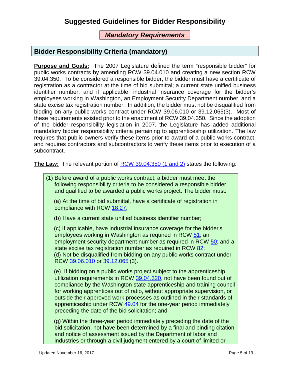### *Mandatory Requirements*

### <span id="page-4-0"></span>**Bidder Responsibility Criteria (mandatory)**

**Purpose and Goals:** The 2007 Legislature defined the term "responsible bidder" for public works contracts by amending RCW 39.04.010 and creating a new section RCW 39.04.350. To be considered a responsible bidder, the bidder must have a certificate of registration as a contractor at the time of bid submittal; a current state unified business identifier number; and if applicable, industrial insurance coverage for the bidder's employees working in Washington, an Employment Security Department number, and a state excise tax registration number. In addition, the bidder must not be disqualified from bidding on any public works contract under RCW 39.06.010 or 39.12.065(3). Most of these requirements existed prior to the enactment of RCW 39.04.350. Since the adoption of the bidder responsibility legislation in 2007, the Legislature has added additional mandatory bidder responsibility criteria pertaining to apprenticeship utilization. The law requires that public owners verify these items prior to award of a public works contract, and requires contractors and subcontractors to verify these items prior to execution of a subcontract.

**The Law:** The relevant portion of **RCW** 39.04.350 (1 and 2) states the following:

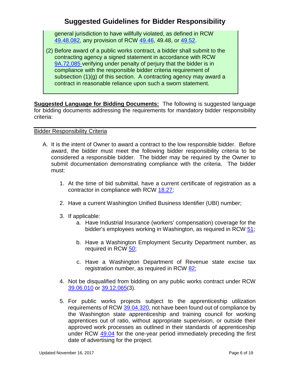general jurisdiction to have willfully violated, as defined in RCW [49.48.082,](http://app.leg.wa.gov/RCW/default.aspx?cite=49.48.082) any provision of RCW [49.46,](http://app.leg.wa.gov/RCW/default.aspx?cite=49.46) 49.48, or [49.52.](http://app.leg.wa.gov/RCW/default.aspx?cite=49.52)

(2) Before award of a public works contract, a bidder shall submit to the contracting agency a signed statement in accordance with RCW [9A.72.085](http://app.leg.wa.gov/RCW/default.aspx?cite=9A.72.085) verifying under penalty of perjury that the bidder is in compliance with the responsible bidder criteria requirement of subsection (1)(g) of this section. A contracting agency may award a contract in reasonable reliance upon such a sworn statement.

**Suggested Language for Bidding Documents:** The following is suggested language for bidding documents addressing the requirements for mandatory bidder responsibility criteria:

#### Bidder Responsibility Criteria

- A. It is the intent of Owner to award a contract to the low responsible bidder. Before award, the bidder must meet the following bidder responsibility criteria to be considered a responsible bidder. The bidder may be required by the Owner to submit documentation demonstrating compliance with the criteria. The bidder must:
	- 1. At the time of bid submittal, have a current certificate of registration as a contractor in compliance with RCW [18.27;](http://apps.leg.wa.gov/rcw/default.aspx?cite=18.27)
	- 2. Have a current Washington Unified Business Identifier (UBI) number;
	- 3. If applicable:
		- a. Have Industrial Insurance (workers' compensation) coverage for the bidder's employees working in Washington, as required in RCW [51;](http://apps.leg.wa.gov/rcw/default.aspx?cite=51)
		- b. Have a Washington Employment Security Department number, as required in RCW [50;](http://apps.leg.wa.gov/rcw/default.aspx?cite=50)
		- c. Have a Washington Department of Revenue state excise tax registration number, as required in RCW [82;](http://apps.leg.wa.gov/rcw/default.aspx?cite=82)
	- 4. Not be disqualified from bidding on any public works contract under RCW [39.06.010](http://apps.leg.wa.gov/rcw/default.aspx?cite=39.06.010) or [39.12.065\(](http://apps.leg.wa.gov/rcw/default.aspx?cite=39.12.065)3).
	- 5. For public works projects subject to the apprenticeship utilization requirements of RCW [39.04.320,](http://apps.leg.wa.gov/rcw/default.aspx?cite=39.04.320) not have been found out of compliance by the Washington state apprenticeship and training council for working apprentices out of ratio, without appropriate supervision, or outside their approved work processes as outlined in their standards of apprenticeship under RCW [49.04](http://apps.leg.wa.gov/rcw/default.aspx?cite=49.04) for the one-year period immediately preceding the first date of advertising for the project.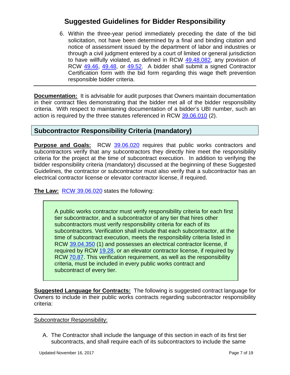6. Within the three-year period immediately preceding the date of the bid solicitation, not have been determined by a final and binding citation and notice of assessment issued by the department of labor and industries or through a civil judgment entered by a court of limited or general jurisdiction to have willfully violated, as defined in RCW [49.48.082,](http://app.leg.wa.gov/RCW/default.aspx?cite=49.48.082) any provision of RCW [49.46,](http://apps.leg.wa.gov/RCW/default.aspx?cite=49.46) [49.48,](http://app.leg.wa.gov/RCW/default.aspx?cite=49.48) or [49.52.](http://app.leg.wa.gov/rcw/default.aspx?cite=49.52) A bidder shall submit a signed Contractor Certification form with the bid form regarding this wage theft prevention responsible bidder criteria.

**Documentation:** It is advisable for audit purposes that Owners maintain documentation in their contract files demonstrating that the bidder met all of the bidder responsibility criteria. With respect to maintaining documentation of a bidder's UBI number, such an action is required by the three statutes referenced in RCW [39.06.010](http://app.leg.wa.gov/RCW/default.aspx?cite=39.06&full=true#39.06.010) (2).

### <span id="page-6-0"></span>**Subcontractor Responsibility Criteria (mandatory)**

**Purpose and Goals:** RCW [39.06.020](http://app.leg.wa.gov/RCW/default.aspx?cite=39.06.020) requires that public works contractors and subcontractors verify that any subcontractors they directly hire meet the responsibility criteria for the project at the time of subcontract execution. In addition to verifying the bidder responsibility criteria (mandatory) discussed at the beginning of these Suggested Guidelines, the contractor or subcontractor must also verify that a subcontractor has an electrical contractor license or elevator contractor license, if required.

**The Law:** [RCW 39.06.020](http://apps.leg.wa.gov/rcw/supdefault.aspx?cite=39.06.020) states the following:

A public works contractor must verify responsibility criteria for each first tier subcontractor, and a subcontractor of any tier that hires other subcontractors must verify responsibility criteria for each of its subcontractors. Verification shall include that each subcontractor, at the time of subcontract execution, meets the responsibility criteria listed in RCW [39.04.350](http://apps.leg.wa.gov/rcw/supdefault.aspx?cite=39.04.350) (1) and possesses an electrical contractor license, if required by RCW [19.28,](http://apps.leg.wa.gov/rcw/supdefault.aspx?cite=19.28) or an elevator contractor license, if required by RCW [70.87.](http://apps.leg.wa.gov/RCW/default.aspx?cite=70.87) This verification requirement, as well as the responsibility criteria, must be included in every public works contract and subcontract of every tier.

**Suggested Language for Contracts:** The following is suggested contract language for Owners to include in their public works contracts regarding subcontractor responsibility criteria:

Subcontractor Responsibility:

A. The Contractor shall include the language of this section in each of its first tier subcontracts, and shall require each of its subcontractors to include the same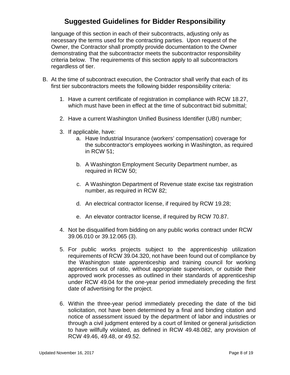language of this section in each of their subcontracts, adjusting only as necessary the terms used for the contracting parties. Upon request of the Owner, the Contractor shall promptly provide documentation to the Owner demonstrating that the subcontractor meets the subcontractor responsibility criteria below. The requirements of this section apply to all subcontractors regardless of tier.

- B. At the time of subcontract execution, the Contractor shall verify that each of its first tier subcontractors meets the following bidder responsibility criteria:
	- 1. Have a current certificate of registration in compliance with RCW 18.27, which must have been in effect at the time of subcontract bid submittal;
	- 2. Have a current Washington Unified Business Identifier (UBI) number;
	- 3. If applicable, have:
		- a. Have Industrial Insurance (workers' compensation) coverage for the subcontractor's employees working in Washington, as required in RCW 51;
		- b. A Washington Employment Security Department number, as required in RCW 50;
		- c. A Washington Department of Revenue state excise tax registration number, as required in RCW 82;
		- d. An electrical contractor license, if required by RCW 19.28;
		- e. An elevator contractor license, if required by RCW 70.87.
	- 4. Not be disqualified from bidding on any public works contract under RCW 39.06.010 or 39.12.065 (3).
	- 5. For public works projects subject to the apprenticeship utilization requirements of RCW 39.04.320, not have been found out of compliance by the Washington state apprenticeship and training council for working apprentices out of ratio, without appropriate supervision, or outside their approved work processes as outlined in their standards of apprenticeship under RCW 49.04 for the one-year period immediately preceding the first date of advertising for the project.
	- 6. Within the three-year period immediately preceding the date of the bid solicitation, not have been determined by a final and binding citation and notice of assessment issued by the department of labor and industries or through a civil judgment entered by a court of limited or general jurisdiction to have willfully violated, as defined in RCW 49.48.082, any provision of RCW 49.46, 49.48, or 49.52.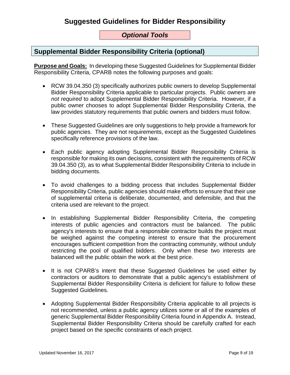### *Optional Tools*

### <span id="page-8-0"></span>**Supplemental Bidder Responsibility Criteria (optional)**

**Purpose and Goals:** In developing these Suggested Guidelines for Supplemental Bidder Responsibility Criteria, CPARB notes the following purposes and goals:

- RCW 39.04.350 (3) specifically authorizes public owners to develop Supplemental Bidder Responsibility Criteria applicable to particular projects. Public owners are *not required* to adopt Supplemental Bidder Responsibility Criteria. However, if a public owner chooses to adopt Supplemental Bidder Responsibility Criteria, the law provides statutory requirements that public owners and bidders must follow.
- These Suggested Guidelines are only suggestions to help provide a framework for public agencies. They are not requirements, except as the Suggested Guidelines specifically reference provisions of the law.
- Each public agency adopting Supplemental Bidder Responsibility Criteria is responsible for making its own decisions, consistent with the requirements of RCW 39.04.350 (3), as to what Supplemental Bidder Responsibility Criteria to include in bidding documents.
- To avoid challenges to a bidding process that includes Supplemental Bidder Responsibility Criteria, public agencies should make efforts to ensure that their use of supplemental criteria is deliberate, documented, and defensible, and that the criteria used are relevant to the project.
- In establishing Supplemental Bidder Responsibility Criteria, the competing interests of public agencies and contractors must be balanced. The public agency's interests to ensure that a responsible contractor builds the project must be weighed against the competing interest to ensure that the procurement encourages sufficient competition from the contracting community, without unduly restricting the pool of qualified bidders. Only when these two interests are balanced will the public obtain the work at the best price.
- It is not CPARB's intent that these Suggested Guidelines be used either by contractors or auditors to demonstrate that a public agency's establishment of Supplemental Bidder Responsibility Criteria is deficient for failure to follow these Suggested Guidelines.
- Adopting Supplemental Bidder Responsibility Criteria applicable to all projects is not recommended, unless a public agency utilizes some or all of the examples of generic Supplemental Bidder Responsibility Criteria found in Appendix A. Instead, Supplemental Bidder Responsibility Criteria should be carefully crafted for each project based on the specific constraints of each project.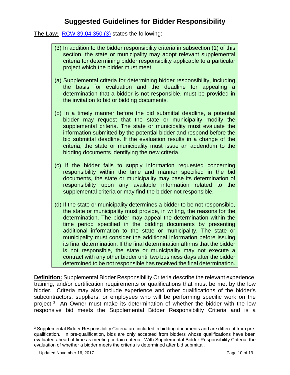**The Law:** [RCW 39.04.350 \(3\)](http://apps.leg.wa.gov/rcw/supdefault.aspx?cite=39.04.350) states the following:

- (3) In addition to the bidder responsibility criteria in subsection (1) of this section, the state or municipality may adopt relevant supplemental criteria for determining bidder responsibility applicable to a particular project which the bidder must meet.
- (a) Supplemental criteria for determining bidder responsibility, including the basis for evaluation and the deadline for appealing a determination that a bidder is not responsible, must be provided in the invitation to bid or bidding documents.
- (b) In a timely manner before the bid submittal deadline, a potential bidder may request that the state or municipality modify the supplemental criteria. The state or municipality must evaluate the information submitted by the potential bidder and respond before the bid submittal deadline. If the evaluation results in a change of the criteria, the state or municipality must issue an addendum to the bidding documents identifying the new criteria.
- (c) If the bidder fails to supply information requested concerning responsibility within the time and manner specified in the bid documents, the state or municipality may base its determination of responsibility upon any available information related to the supplemental criteria or may find the bidder not responsible.
- (d) If the state or municipality determines a bidder to be not responsible, the state or municipality must provide, in writing, the reasons for the determination. The bidder may appeal the determination within the time period specified in the bidding documents by presenting additional information to the state or municipality. The state or municipality must consider the additional information before issuing its final determination. If the final determination affirms that the bidder is not responsible, the state or municipality may not execute a contract with any other bidder until two business days after the bidder determined to be not responsible has received the final determination.

**Definition:** Supplemental Bidder Responsibility Criteria describe the relevant experience, training, and/or certification requirements or qualifications that must be met by the low bidder. Criteria may also include experience and other qualifications of the bidder's subcontractors, suppliers, or employees who will be performing specific work on the project.[3](#page-9-0) An Owner must make its determination of whether the bidder with the low responsive bid meets the Supplemental Bidder Responsibility Criteria and is a

<span id="page-9-0"></span><sup>-</sup><sup>3</sup> Supplemental Bidder Responsibility Criteria are included in bidding documents and are different from prequalification. In pre-qualification, bids are only accepted from bidders whose qualifications have been evaluated ahead of time as meeting certain criteria. With Supplemental Bidder Responsibility Criteria, the evaluation of whether a bidder meets the criteria is determined after bid submittal.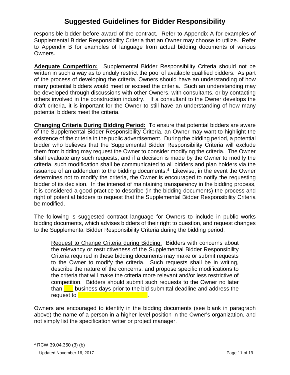responsible bidder before award of the contract. Refer to Appendix A for examples of Supplemental Bidder Responsibility Criteria that an Owner may choose to utilize. Refer to Appendix B for examples of language from actual bidding documents of various Owners.

**Adequate Competition:** Supplemental Bidder Responsibility Criteria should not be written in such a way as to unduly restrict the pool of available qualified bidders. As part of the process of developing the criteria, Owners should have an understanding of how many potential bidders would meet or exceed the criteria. Such an understanding may be developed through discussions with other Owners, with consultants, or by contacting others involved in the construction industry. If a consultant to the Owner develops the draft criteria, it is important for the Owner to still have an understanding of how many potential bidders meet the criteria.

**Changing Criteria During Bidding Period:** To ensure that potential bidders are aware of the Supplemental Bidder Responsibility Criteria, an Owner may want to highlight the existence of the criteria in the public advertisement. During the bidding period, a potential bidder who believes that the Supplemental Bidder Responsibility Criteria will exclude them from bidding may request the Owner to consider modifying the criteria. The Owner shall evaluate any such requests, and if a decision is made by the Owner to modify the criteria, such modification shall be communicated to all bidders and plan holders via the issuance of an addendum to the bidding documents.<sup>4</sup> Likewise, in the event the Owner determines not to modify the criteria, the Owner is encouraged to notify the requesting bidder of its decision. In the interest of maintaining transparency in the bidding process, it is considered a good practice to describe (in the bidding documents) the process and right of potential bidders to request that the Supplemental Bidder Responsibility Criteria be modified.

The following is suggested contract language for Owners to include in public works bidding documents, which advises bidders of their right to question, and request changes to the Supplemental Bidder Responsibility Criteria during the bidding period:

Request to Change Criteria during Bidding: Bidders with concerns about the relevancy or restrictiveness of the Supplemental Bidder Responsibility Criteria required in these bidding documents may make or submit requests to the Owner to modify the criteria. Such requests shall be in writing, describe the nature of the concerns, and propose specific modifications to the criteria that will make the criteria more relevant and/or less restrictive of competition. Bidders should submit such requests to the Owner no later than  $\Box$  business days prior to the bid submittal deadline and address the request to **Legier** 

Owners are encouraged to identify in the bidding documents (see blank in paragraph above) the name of a person in a higher level position in the Owner's organization, and not simply list the specification writer or project manager.

Updated November 16, 2017 **Page 11 of 19** 

<span id="page-10-0"></span><sup>-</sup><sup>4</sup> RCW 39.04.350 (3) (b)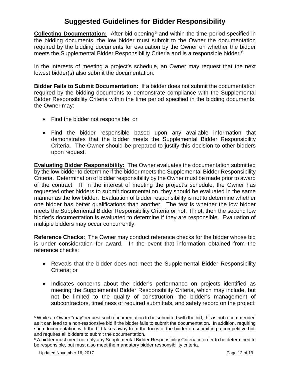**Collecting Documentation:** After bid opening<sup>[5](#page-11-0)</sup> and within the time period specified in the bidding documents, the low bidder must submit to the Owner the documentation required by the bidding documents for evaluation by the Owner on whether the bidder meets the Supplemental Bidder Responsibility Criteria and is a responsible bidder.<sup>[6](#page-11-1)</sup>

In the interests of meeting a project's schedule, an Owner may request that the next lowest bidder(s) also submit the documentation.

**Bidder Fails to Submit Documentation:** If a bidder does not submit the documentation required by the bidding documents to demonstrate compliance with the Supplemental Bidder Responsibility Criteria within the time period specified in the bidding documents, the Owner may:

- Find the bidder not responsible, or
- Find the bidder responsible based upon any available information that demonstrates that the bidder meets the Supplemental Bidder Responsibility Criteria. The Owner should be prepared to justify this decision to other bidders upon request.

**Evaluating Bidder Responsibility:** The Owner evaluates the documentation submitted by the low bidder to determine if the bidder meets the Supplemental Bidder Responsibility Criteria. Determination of bidder responsibility by the Owner must be made prior to award of the contract. If, in the interest of meeting the project's schedule, the Owner has requested other bidders to submit documentation, they should be evaluated in the same manner as the low bidder. Evaluation of bidder responsibility is not to determine whether one bidder has better qualifications than another. The test is whether the low bidder meets the Supplemental Bidder Responsibility Criteria or not. If not, then the second low bidder's documentation is evaluated to determine if they are responsible. Evaluation of multiple bidders may occur concurrently.

**Reference Checks:** The Owner may conduct reference checks for the bidder whose bid is under consideration for award. In the event that information obtained from the reference checks:

- Reveals that the bidder does not meet the Supplemental Bidder Responsibility Criteria; or
- Indicates concerns about the bidder's performance on projects identified as meeting the Supplemental Bidder Responsibility Criteria, which may include, but not be limited to the quality of construction, the bidder's management of subcontractors, timeliness of required submittals, and safety record on the project;

-

<span id="page-11-0"></span><sup>5</sup> While an Owner "may" request such documentation to be submitted with the bid, this is not recommended as it can lead to a non-responsive bid if the bidder fails to submit the documentation. In addition, requiring such documentation with the bid takes away from the focus of the bidder on submitting a competitive bid, and requires all bidders to submit the documentation.

<span id="page-11-1"></span><sup>&</sup>lt;sup>6</sup> A bidder must meet not only any Supplemental Bidder Responsibility Criteria in order to be determined to be responsible, but must also meet the mandatory bidder responsibility criteria.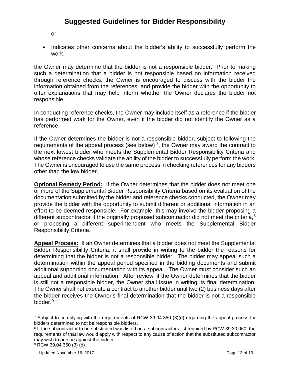or

• Indicates other concerns about the bidder's ability to successfully perform the work,

the Owner may determine that the bidder is not a responsible bidder. Prior to making such a determination that a bidder is not responsible based on information received through reference checks, the Owner is encouraged to discuss with the bidder the information obtained from the references, and provide the bidder with the opportunity to offer explanations that may help inform whether the Owner declares the bidder not responsible.

In conducting reference checks, the Owner may include itself as a reference if the bidder has performed work for the Owner, even if the bidder did not identify the Owner as a reference.

If the Owner determines the bidder is not a responsible bidder, subject to following the requirements of the appeal process (see below)<sup>7</sup>, the Owner may award the contract to the next lowest bidder who meets the Supplemental Bidder Responsibility Criteria and whose reference checks validate the ability of the bidder to successfully perform the work. The Owner is encouraged to use the same process in checking references for any bidders other than the low bidder.

**Optional Remedy Period:** If the Owner determines that the bidder does not meet one or more of the Supplemental Bidder Responsibility Criteria based on its evaluation of the documentation submitted by the bidder and reference checks conducted, the Owner may provide the bidder with the opportunity to submit different or additional information in an effort to be deemed responsible. For example, this may involve the bidder proposing a different subcontractor if the originally proposed subcontractor did not meet the criteria,<sup>[8](#page-12-1)</sup> or proposing a different superintendent who meets the Supplemental Bidder Responsibility Criteria.

**Appeal Process:** If an Owner determines that a bidder does not meet the Supplemental Bidder Responsibility Criteria, it shall provide in writing to the bidder the reasons for determining that the bidder is not a responsible bidder. The bidder may appeal such a determination within the appeal period specified in the bidding documents and submit additional supporting documentation with its appeal. The Owner must consider such an appeal and additional information. After review, if the Owner determines that the bidder is still not a responsible bidder, the Owner shall issue in writing its final determination. The Owner shall not execute a contract to another bidder until two (2) business days after the bidder receives the Owner's final determination that the bidder is not a responsible bidder.<sup>[9](#page-12-2)</sup>

<span id="page-12-0"></span><sup>-</sup><sup>7</sup> Subject to complying with the requirements of RCW 39.04.350 (3)(d) regarding the appeal process for bidders determined to not be responsible bidders.

<span id="page-12-1"></span><sup>8</sup> If the subcontractor to be substituted was listed on a subcontractors list required by RCW 39.30.060, the requirements of that law would apply with respect to any cause of action that the substituted subcontractor may wish to pursue against the bidder.

<span id="page-12-2"></span><sup>9</sup> RCW 39.04.350 (3) (d)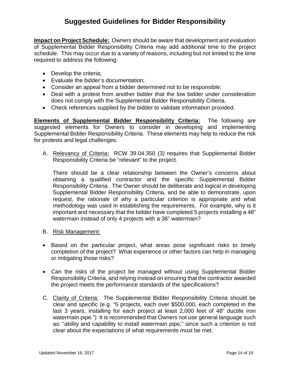**Impact on Project Schedule:** Owners should be aware that development and evaluation of Supplemental Bidder Responsibility Criteria may add additional time to the project schedule. This may occur due to a variety of reasons, including but not limited to the time required to address the following:

- Develop the criteria;
- Evaluate the bidder's documentation;
- Consider an appeal from a bidder determined not to be responsible;
- Deal with a protest from another bidder that the low bidder under consideration does not comply with the Supplemental Bidder Responsibility Criteria.
- Check references supplied by the bidder to validate information provided.

**Elements of Supplemental Bidder Responsibility Criteria:** The following are suggested elements for Owners to consider in developing and implementing Supplemental Bidder Responsibility Criteria. These elements may help to reduce the risk for protests and legal challenges:

A. Relevancy of Criteria: RCW 39.04.350 (3) requires that Supplemental Bidder Responsibility Criteria be "relevant" to the project.

There should be a clear relationship between the Owner's concerns about obtaining a qualified contractor and the specific Supplemental Bidder Responsibility Criteria. The Owner should be deliberate and logical in developing Supplemental Bidder Responsibility Criteria, and be able to demonstrate, upon request, the rationale of why a particular criterion is appropriate and what methodology was used in establishing the requirements. For example, why is it important and necessary that the bidder have completed 5 projects installing a 48" watermain instead of only 4 projects with a 36" watermain?

- B. Risk Management:
- Based on the particular project, what areas pose significant risks to timely completion of the project? What experience or other factors can help in managing or mitigating those risks?
- Can the risks of the project be managed without using Supplemental Bidder Responsibility Criteria, and relying instead on ensuring that the contractor awarded the project meets the performance standards of the specifications?
- C. Clarity of Criteria: The Supplemental Bidder Responsibility Criteria should be clear and specific (e.g. "5 projects, each over \$500,000, each completed in the last 3 years, installing for each project at least 2,000 feet of 48" ductile iron watermain pipe.") It is recommended that Owners not use general language such as: "ability and capability to install watermain pipe," since such a criterion is not clear about the expectations of what requirements must be met.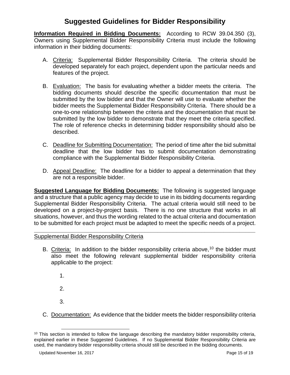**Information Required in Bidding Documents:** According to RCW 39.04.350 (3), Owners using Supplemental Bidder Responsibility Criteria must include the following information in their bidding documents:

- A. Criteria: Supplemental Bidder Responsibility Criteria. The criteria should be developed separately for each project, dependent upon the particular needs and features of the project.
- B. Evaluation: The basis for evaluating whether a bidder meets the criteria. The bidding documents should describe the specific documentation that must be submitted by the low bidder and that the Owner will use to evaluate whether the bidder meets the Supplemental Bidder Responsibility Criteria. There should be a one-to-one relationship between the criteria and the documentation that must be submitted by the low bidder to demonstrate that they meet the criteria specified. The role of reference checks in determining bidder responsibility should also be described.
- C. Deadline for Submitting Documentation: The period of time after the bid submittal deadline that the low bidder has to submit documentation demonstrating compliance with the Supplemental Bidder Responsibility Criteria.
- D. Appeal Deadline: The deadline for a bidder to appeal a determination that they are not a responsible bidder.

**Suggested Language for Bidding Documents:** The following is suggested language and a structure that a public agency may decide to use in its bidding documents regarding Supplemental Bidder Responsibility Criteria. The actual criteria would still need to be developed on a project-by-project basis. There is no one structure that works in all situations, however, and thus the wording related to the actual criteria and documentation to be submitted for each project must be adapted to meet the specific needs of a project.

#### **\_\_\_\_\_\_\_\_\_\_\_\_\_\_\_\_\_\_\_\_\_\_\_\_\_\_\_\_\_\_\_\_\_\_\_\_\_\_\_\_\_\_\_\_\_\_\_\_\_\_\_\_\_\_\_\_\_\_\_\_\_\_\_\_\_\_\_\_\_\_** Supplemental Bidder Responsibility Criteria

- B. Criteria: In addition to the bidder responsibility criteria above,  $10$  the bidder must also meet the following relevant supplemental bidder responsibility criteria applicable to the project:
	- 1.
	- 2.
	- 3.

-

C. Documentation: As evidence that the bidder meets the bidder responsibility criteria

<span id="page-14-0"></span><sup>&</sup>lt;sup>10</sup> This section is intended to follow the language describing the mandatory bidder responsibility criteria, explained earlier in these Suggested Guidelines. If no Supplemental Bidder Responsibility Criteria are used, the mandatory bidder responsibility criteria should still be described in the bidding documents.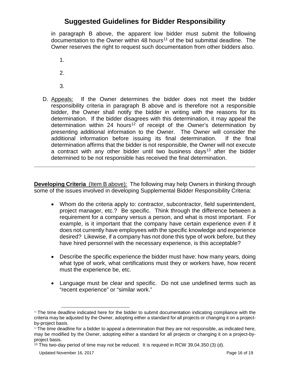in paragraph B above, the apparent low bidder must submit the following documentation to the Owner within 48 hours<sup>[11](#page-15-0)</sup> of the bid submittal deadline. The Owner reserves the right to request such documentation from other bidders also.

- 1.
- 2.
- 3.
- D. Appeals: If the Owner determines the bidder does not meet the bidder responsibility criteria in paragraph B above and is therefore not a responsible bidder, the Owner shall notify the bidder in writing with the reasons for its determination. If the bidder disagrees with this determination, it may appeal the determination within 24 hours<sup>12</sup> of receipt of the Owner's determination by presenting additional information to the Owner. The Owner will consider the additional information before issuing its final determination. If the final determination affirms that the bidder is not responsible, the Owner will not execute a contract with any other bidder until two business days<sup>[13](#page-15-2)</sup> after the bidder determined to be not responsible has received the final determination.

**Developing Criteria** (Item B above): The following may help Owners in thinking through some of the issues involved in developing Supplemental Bidder Responsibility Criteria:

**\_\_\_\_\_\_\_\_\_\_\_\_\_\_\_\_\_\_\_\_\_\_\_\_\_\_\_\_\_\_\_\_\_\_\_\_\_\_\_\_\_\_\_\_\_\_\_\_\_\_\_\_\_\_\_\_\_\_\_\_\_\_\_\_\_\_\_\_\_\_**

- Whom do the criteria apply to: contractor, subcontractor, field superintendent, project manager, etc.? Be specific. Think through the difference between a requirement for a company versus a person, and what is most important. For example, is it important that the company have certain experience even if it does not currently have employees with the specific knowledge and experience desired? Likewise, if a company has not done this type of work before, but they have hired personnel with the necessary experience, is this acceptable?
- Describe the specific experience the bidder must have: how many years, doing what type of work, what certifications must they or workers have, how recent must the experience be, etc.
- Language must be clear and specific. Do not use undefined terms such as "recent experience" or "similar work."

<span id="page-15-0"></span> $11$  The time deadline indicated here for the bidder to submit documentation indicating compliance with the criteria may be adjusted by the Owner, adopting either a standard for all projects or changing it on a projectby-project basis.

<span id="page-15-1"></span> $12$  The time deadline for a bidder to appeal a determination that they are not responsible, as indicated here, may be modified by the Owner, adopting either a standard for all projects or changing it on a project-byproject basis.

<span id="page-15-2"></span> $13$  This two-day period of time may not be reduced. It is required in RCW 39.04.350 (3) (d).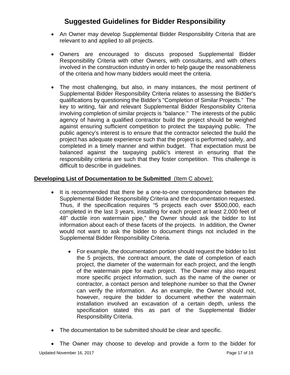- An Owner may develop Supplemental Bidder Responsibility Criteria that are relevant to and applied to all projects.
- Owners are encouraged to discuss proposed Supplemental Bidder Responsibility Criteria with other Owners, with consultants, and with others involved in the construction industry in order to help gauge the reasonableness of the criteria and how many bidders would meet the criteria.
- The most challenging, but also, in many instances, the most pertinent of Supplemental Bidder Responsibility Criteria relates to assessing the Bidder's qualifications by questioning the Bidder's "Completion of Similar Projects." The key to writing, fair and relevant Supplemental Bidder Responsibility Criteria involving completion of similar projects is "balance." The interests of the public agency of having a qualified contractor build the project should be weighed against ensuring sufficient competition to protect the taxpaying public. The public agency's interest is to ensure that the contractor selected the build the project has adequate experience such that the project is performed safely, and completed in a timely manner and within budget. That expectation must be balanced against the taxpaying public's interest in ensuring that the responsibility criteria are such that they foster competition. This challenge is difficult to describe in guidelines.

#### **Developing List of Documentation to be Submitted** (Item C above):

- It is recommended that there be a one-to-one correspondence between the Supplemental Bidder Responsibility Criteria and the documentation requested. Thus, if the specification requires "5 projects each over \$500,000, each completed in the last 3 years, installing for each project at least 2,000 feet of 48" ductile iron watermain pipe," the Owner should ask the bidder to list information about each of these facets of the projects. In addition, the Owner would not want to ask the bidder to document things not included in the Supplemental Bidder Responsibility Criteria.
	- For example, the documentation portion should request the bidder to list the 5 projects, the contract amount, the date of completion of each project, the diameter of the watermain for each project, and the length of the watermain pipe for each project. The Owner may also request more specific project information, such as the name of the owner or contractor, a contact person and telephone number so that the Owner can verify the information. As an example, the Owner should not, however, require the bidder to document whether the watermain installation involved an excavation of a certain depth, unless the specification stated this as part of the Supplemental Bidder Responsibility Criteria.
- The documentation to be submitted should be clear and specific.
- The Owner may choose to develop and provide a form to the bidder for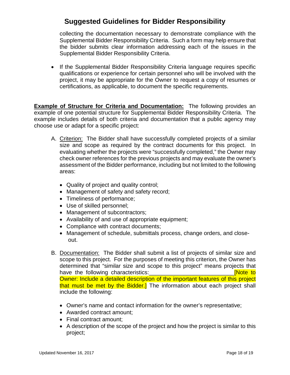collecting the documentation necessary to demonstrate compliance with the Supplemental Bidder Responsibility Criteria. Such a form may help ensure that the bidder submits clear information addressing each of the issues in the Supplemental Bidder Responsibility Criteria.

• If the Supplemental Bidder Responsibility Criteria language requires specific qualifications or experience for certain personnel who will be involved with the project, it may be appropriate for the Owner to request a copy of resumes or certifications, as applicable, to document the specific requirements.

**Example of Structure for Criteria and Documentation:** The following provides an example of one potential structure for Supplemental Bidder Responsibility Criteria. The example includes details of both criteria and documentation that a public agency may choose use or adapt for a specific project:

- A. Criterion: The Bidder shall have successfully completed projects of a similar size and scope as required by the contract documents for this project. In evaluating whether the projects were "successfully completed," the Owner may check owner references for the previous projects and may evaluate the owner's assessment of the Bidder performance, including but not limited to the following areas:
	- Quality of project and quality control;
	- Management of safety and safety record;
	- Timeliness of performance;
	- Use of skilled personnel;
	- Management of subcontractors;
	- Availability of and use of appropriate equipment;
	- Compliance with contract documents;
	- Management of schedule, submittals process, change orders, and closeout.
- B. Documentation: The Bidder shall submit a list of projects of similar size and scope to this project. For the purposes of meeting this criterion, the Owner has determined that "similar size and scope to this project" means projects that have the following characteristics: the state of the state of the state of the state of the state of the state Owner: Include a detailed description of the important features of this project that must be met by the Bidder.] The information about each project shall include the following:
	- Owner's name and contact information for the owner's representative;
	- Awarded contract amount;
	- Final contract amount;
	- A description of the scope of the project and how the project is similar to this project;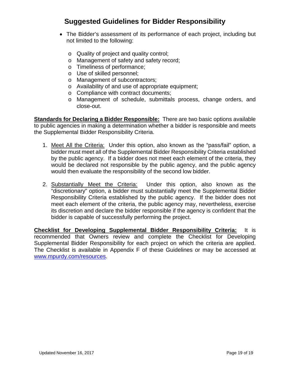- The Bidder's assessment of its performance of each project, including but not limited to the following:
	- o Quality of project and quality control;
	- o Management of safety and safety record;
	- o Timeliness of performance;
	- o Use of skilled personnel;
	- o Management of subcontractors;
	- o Availability of and use of appropriate equipment;
	- o Compliance with contract documents;
	- o Management of schedule, submittals process, change orders, and close-out.

**Standards for Declaring a Bidder Responsible:** There are two basic options available to public agencies in making a determination whether a bidder is responsible and meets the Supplemental Bidder Responsibility Criteria.

- 1. Meet All the Criteria: Under this option, also known as the "pass/fail" option, a bidder must meet all of the Supplemental Bidder Responsibility Criteria established by the public agency. If a bidder does not meet each element of the criteria, they would be declared not responsible by the public agency, and the public agency would then evaluate the responsibility of the second low bidder.
- 2. Substantially Meet the Criteria: Under this option, also known as the "discretionary" option, a bidder must substantially meet the Supplemental Bidder Responsibility Criteria established by the public agency. If the bidder does not meet each element of the criteria, the public agency may, nevertheless, exercise its discretion and declare the bidder responsible if the agency is confident that the bidder is capable of successfully performing the project.

**Checklist for Developing Supplemental Bidder Responsibility Criteria:** It is recommended that Owners review and complete the Checklist for Developing Supplemental Bidder Responsibility for each project on which the criteria are applied. The Checklist is available in Appendix F of these Guidelines or may be accessed at [www.mpurdy.com/resources.](file://filedepot.eclient.wa.lcl/deshome$/Ndeakin/www.mpurdy.com/resources)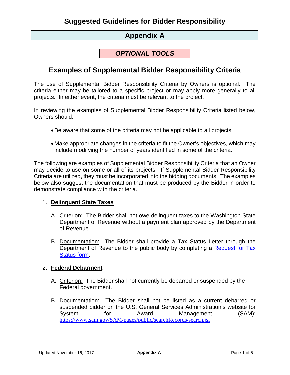### **Appendix A**

### *OPTIONAL TOOLS*

### <span id="page-19-0"></span>**Examples of Supplemental Bidder Responsibility Criteria**

The use of Supplemental Bidder Responsibility Criteria by Owners is optional. The criteria either may be tailored to a specific project or may apply more generally to all projects. In either event, the criteria must be relevant to the project.

In reviewing the examples of Supplemental Bidder Responsibility Criteria listed below, Owners should:

- •Be aware that some of the criteria may not be applicable to all projects.
- Make appropriate changes in the criteria to fit the Owner's objectives, which may include modifying the number of years identified in some of the criteria.

The following are examples of Supplemental Bidder Responsibility Criteria that an Owner may decide to use on some or all of its projects. If Supplemental Bidder Responsibility Criteria are utilized, they must be incorporated into the bidding documents. The examples below also suggest the documentation that must be produced by the Bidder in order to demonstrate compliance with the criteria.

#### 1. **Delinquent State Taxes**

- A. Criterion: The Bidder shall not owe delinquent taxes to the Washington State Department of Revenue without a payment plan approved by the Department of Revenue.
- B. Documentation: The Bidder shall provide a Tax Status Letter through the Department of Revenue to the public body by completing a [Request for Tax](https://dor.wa.gov/sites/default/files/legacy/Docs/Forms/Misc/RequestForTxStatus_E.pdf)  [Status form.](https://dor.wa.gov/sites/default/files/legacy/Docs/Forms/Misc/RequestForTxStatus_E.pdf)

#### 2. **Federal Debarment**

- A. Criterion: The Bidder shall not currently be debarred or suspended by the Federal government.
- B. Documentation: The Bidder shall not be listed as a current debarred or suspended bidder on the U.S. General Services Administration's website for System for Award Management (SAM): <https://www.sam.gov/SAM/pages/public/searchRecords/search.jsf>.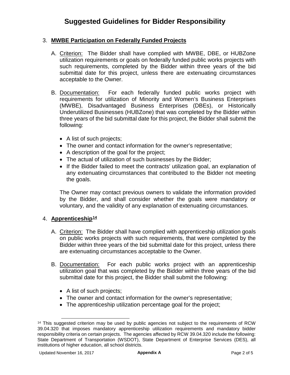#### 3. **MWBE Participation on Federally Funded Projects**

- A. Criterion: The Bidder shall have complied with MWBE, DBE, or HUBZone utilization requirements or goals on federally funded public works projects with such requirements, completed by the Bidder within three years of the bid submittal date for this project, unless there are extenuating circumstances acceptable to the Owner.
- B. Documentation: For each federally funded public works project with requirements for utilization of Minority and Women's Business Enterprises (MWBE), Disadvantaged Business Enterprises (DBEs), or Historically Underutilized Businesses (HUBZone) that was completed by the Bidder within three years of the bid submittal date for this project, the Bidder shall submit the following:
	- A list of such projects;
	- The owner and contact information for the owner's representative;
	- A description of the goal for the project;
	- The actual of utilization of such businesses by the Bidder;
	- If the Bidder failed to meet the contracts' utilization goal, an explanation of any extenuating circumstances that contributed to the Bidder not meeting the goals.

The Owner may contact previous owners to validate the information provided by the Bidder, and shall consider whether the goals were mandatory or voluntary, and the validity of any explanation of extenuating circumstances.

#### 4. **Apprenticeship[14](#page-20-0)**

- A. Criterion: The Bidder shall have complied with apprenticeship utilization goals on public works projects with such requirements, that were completed by the Bidder within three years of the bid submittal date for this project, unless there are extenuating circumstances acceptable to the Owner.
- B. Documentation: For each public works project with an apprenticeship utilization goal that was completed by the Bidder within three years of the bid submittal date for this project, the Bidder shall submit the following:
	- A list of such projects;
	- The owner and contact information for the owner's representative;
	- The apprenticeship utilization percentage goal for the project;

<span id="page-20-0"></span><sup>1</sup> <sup>14</sup> This suggested criterion may be used by public agencies not subject to the requirements of RCW 39.04.320 that imposes mandatory apprenticeship utilization requirements and mandatory bidder responsibility criteria on certain projects. The agencies affected by RCW 39.04.320 include the following: State Department of Transportation (WSDOT), State Department of Enterprise Services (DES), all institutions of higher education, all school districts.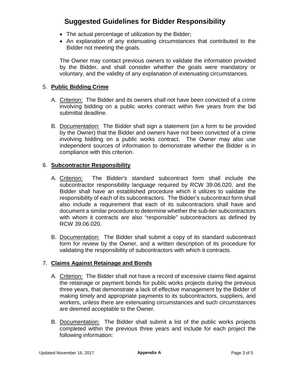- The actual percentage of utilization by the Bidder;
- An explanation of any extenuating circumstances that contributed to the Bidder not meeting the goals.

The Owner may contact previous owners to validate the information provided by the Bidder, and shall consider whether the goals were mandatory or voluntary, and the validity of any explanation of extenuating circumstances.

#### 5. **Public Bidding Crime**

- A. Criterion: The Bidder and its owners shall not have been convicted of a crime involving bidding on a public works contract within five years from the bid submittal deadline.
- B. Documentation: The Bidder shall sign a statement (on a form to be provided by the Owner) that the Bidder and owners have not been convicted of a crime involving bidding on a public works contract. The Owner may also use independent sources of information to demonstrate whether the Bidder is in compliance with this criterion.

#### 6. **Subcontractor Responsibility**

- A. Criterion: The Bidder's standard subcontract form shall include the subcontractor responsibility language required by RCW 39.06.020, and the Bidder shall have an established procedure which it utilizes to validate the responsibility of each of its subcontractors. The Bidder's subcontract form shall also include a requirement that each of its subcontractors shall have and document a similar procedure to determine whether the sub-tier subcontractors with whom it contracts are also "responsible" subcontractors as defined by RCW 39.06.020.
- B. Documentation: The Bidder shall submit a copy of its standard subcontract form for review by the Owner, and a written description of its procedure for validating the responsibility of subcontractors with which it contracts.

#### 7. **Claims Against Retainage and Bonds**

- A. Criterion: The Bidder shall not have a record of excessive claims filed against the retainage or payment bonds for public works projects during the previous three years, that demonstrate a lack of effective management by the Bidder of making timely and appropriate payments to its subcontractors, suppliers, and workers, unless there are extenuating circumstances and such circumstances are deemed acceptable to the Owner.
- B. Documentation: The Bidder shall submit a list of the public works projects completed within the previous three years and include for each project the following information: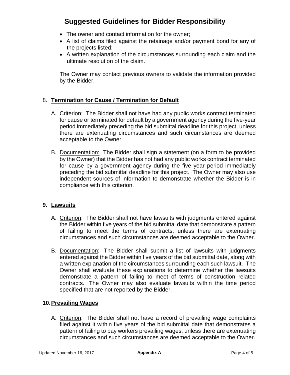- The owner and contact information for the owner:
- A list of claims filed against the retainage and/or payment bond for any of the projects listed;
- A written explanation of the circumstances surrounding each claim and the ultimate resolution of the claim.

The Owner may contact previous owners to validate the information provided by the Bidder.

#### 8. **Termination for Cause / Termination for Default**

- A. Criterion: The Bidder shall not have had any public works contract terminated for cause or terminated for default by a government agency during the five-year period immediately preceding the bid submittal deadline for this project, unless there are extenuating circumstances and such circumstances are deemed acceptable to the Owner.
- B. Documentation: The Bidder shall sign a statement (on a form to be provided by the Owner) that the Bidder has not had any public works contract terminated for cause by a government agency during the five year period immediately preceding the bid submittal deadline for this project. The Owner may also use independent sources of information to demonstrate whether the Bidder is in compliance with this criterion.

#### **9. Lawsuits**

- A. Criterion: The Bidder shall not have lawsuits with judgments entered against the Bidder within five years of the bid submittal date that demonstrate a pattern of failing to meet the terms of contracts, unless there are extenuating circumstances and such circumstances are deemed acceptable to the Owner.
- B. Documentation: The Bidder shall submit a list of lawsuits with judgments entered against the Bidder within five years of the bid submittal date, along with a written explanation of the circumstances surrounding each such lawsuit. The Owner shall evaluate these explanations to determine whether the lawsuits demonstrate a pattern of failing to meet of terms of construction related contracts. The Owner may also evaluate lawsuits within the time period specified that are not reported by the Bidder.

#### **10.Prevailing Wages**

A. Criterion: The Bidder shall not have a record of prevailing wage complaints filed against it within five years of the bid submittal date that demonstrates a pattern of failing to pay workers prevailing wages, unless there are extenuating circumstances and such circumstances are deemed acceptable to the Owner.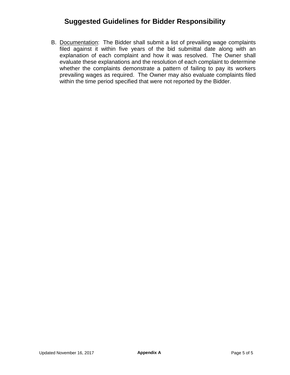B. Documentation: The Bidder shall submit a list of prevailing wage complaints filed against it within five years of the bid submittal date along with an explanation of each complaint and how it was resolved. The Owner shall evaluate these explanations and the resolution of each complaint to determine whether the complaints demonstrate a pattern of failing to pay its workers prevailing wages as required. The Owner may also evaluate complaints filed within the time period specified that were not reported by the Bidder.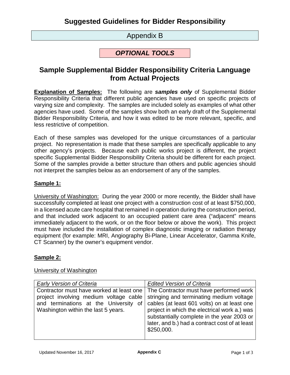### Appendix B

### *OPTIONAL TOOLS*

### <span id="page-24-0"></span>**Sample Supplemental Bidder Responsibility Criteria Language from Actual Projects**

**Explanation of Samples:** The following are *samples only* of Supplemental Bidder Responsibility Criteria that different public agencies have used on specific projects of varying size and complexity. The samples are included solely as examples of what other agencies have used. Some of the samples show both an early draft of the Supplemental Bidder Responsibility Criteria, and how it was edited to be more relevant, specific, and less restrictive of competition.

Each of these samples was developed for the unique circumstances of a particular project. No representation is made that these samples are specifically applicable to any other agency's projects. Because each public works project is different, the project specific Supplemental Bidder Responsibility Criteria should be different for each project. Some of the samples provide a better structure than others and public agencies should not interpret the samples below as an endorsement of any of the samples.

#### **Sample 1:**

University of Washington: During the year 2000 or more recently, the Bidder shall have successfully completed at least one project with a construction cost of at least \$750,000, in a licensed acute care hospital that remained in operation during the construction period, and that included work adjacent to an occupied patient care area ("adjacent" means immediately adjacent to the work, or on the floor below or above the work). This project must have included the installation of complex diagnostic imaging or radiation therapy equipment (for example: MRI, Angiography Bi-Plane, Linear Accelerator, Gamma Knife, CT Scanner) by the owner's equipment vendor.

#### **Sample 2:**

#### University of Washington

| <b>Early Version of Criteria</b>                                                                                                                                   | <b>Edited Version of Criteria</b>                                                                                                                                                                                                                                                                |
|--------------------------------------------------------------------------------------------------------------------------------------------------------------------|--------------------------------------------------------------------------------------------------------------------------------------------------------------------------------------------------------------------------------------------------------------------------------------------------|
| Contractor must have worked at least one<br>project involving medium voltage cable<br>and terminations at the University of<br>Washington within the last 5 years. | The Contractor must have performed work<br>stringing and terminating medium voltage<br>cables (at least 601 volts) on at least one<br>project in which the electrical work a.) was<br>substantially complete in the year 2003 or<br>later, and b.) had a contract cost of at least<br>\$250,000. |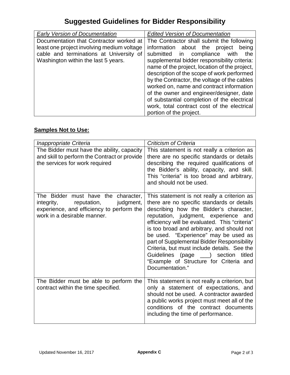| <b>Early Version of Documentation</b>      | <b>Edited Version of Documentation</b>        |
|--------------------------------------------|-----------------------------------------------|
| Documentation that Contractor worked at    | The Contractor shall submit the following     |
| least one project involving medium voltage | information about the project<br>being        |
| cable and terminations at University of    | submitted in compliance<br>with<br>the        |
| Washington within the last 5 years.        | supplemental bidder responsibility criteria:  |
|                                            | name of the project, location of the project, |
|                                            | description of the scope of work performed    |
|                                            | by the Contractor, the voltage of the cables  |
|                                            | worked on, name and contract information      |
|                                            | of the owner and engineer/designer, date      |
|                                            | of substantial completion of the electrical   |
|                                            | work, total contract cost of the electrical   |
|                                            | portion of the project.                       |

### **Samples Not to Use:**

| Inappropriate Criteria                                                                                                                                    | <b>Criticism of Criteria</b>                                                                                                                                                                                                                                                                                                                                                                                                                                                                                            |
|-----------------------------------------------------------------------------------------------------------------------------------------------------------|-------------------------------------------------------------------------------------------------------------------------------------------------------------------------------------------------------------------------------------------------------------------------------------------------------------------------------------------------------------------------------------------------------------------------------------------------------------------------------------------------------------------------|
| The Bidder must have the ability, capacity<br>and skill to perform the Contract or provide<br>the services for work required                              | This statement is not really a criterion as<br>there are no specific standards or details<br>describing the required qualifications of<br>the Bidder's ability, capacity, and skill.<br>This "criteria" is too broad and arbitrary,<br>and should not be used.                                                                                                                                                                                                                                                          |
| The Bidder must have the character,<br>reputation,<br>judgment,<br>integrity,<br>experience, and efficiency to perform the<br>work in a desirable manner. | This statement is not really a criterion as<br>there are no specific standards or details<br>describing how the Bidder's character,<br>reputation, judgment, experience and<br>efficiency will be evaluated. This "criteria"<br>is too broad and arbitrary, and should not<br>be used. "Experience" may be used as<br>part of Supplemental Bidder Responsibility<br>Criteria, but must include details. See the<br>Guidelines (page ___) section<br>titled<br>"Example of Structure for Criteria and<br>Documentation." |
| The Bidder must be able to perform the<br>contract within the time specified.                                                                             | This statement is not really a criterion, but<br>only a statement of expectations, and<br>should not be used. A contractor awarded<br>a public works project must meet all of the<br>conditions of the contract documents<br>including the time of performance.                                                                                                                                                                                                                                                         |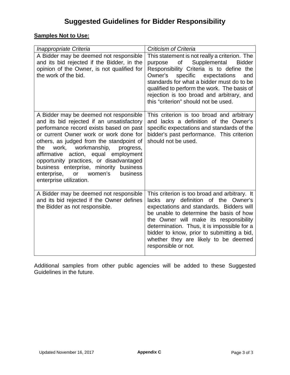### **Samples Not to Use:**

| Inappropriate Criteria                                                                                                                                                                                                                                                                                                                                                                                                                                             | <b>Criticism of Criteria</b>                                                                                                                                                                                                                                                                                                                                                      |
|--------------------------------------------------------------------------------------------------------------------------------------------------------------------------------------------------------------------------------------------------------------------------------------------------------------------------------------------------------------------------------------------------------------------------------------------------------------------|-----------------------------------------------------------------------------------------------------------------------------------------------------------------------------------------------------------------------------------------------------------------------------------------------------------------------------------------------------------------------------------|
| A Bidder may be deemed not responsible<br>and its bid rejected if the Bidder, in the<br>opinion of the Owner, is not qualified for<br>the work of the bid.                                                                                                                                                                                                                                                                                                         | This statement is not really a criterion. The<br>Supplemental<br>of<br>purpose<br><b>Bidder</b><br>Responsibility Criteria is to define the<br>Owner's specific expectations<br>and<br>standards for what a bidder must do to be<br>qualified to perform the work. The basis of<br>rejection is too broad and arbitrary, and<br>this "criterion" should not be used.              |
| A Bidder may be deemed not responsible<br>and its bid rejected if an unsatisfactory<br>performance record exists based on past<br>or current Owner work or work done for<br>others, as judged from the standpoint of<br>work,<br>workmanship,<br>the<br>progress,<br>affirmative action, equal employment<br>opportunity practices, or disadvantaged<br>business enterprise, minority business<br>or women's<br>enterprise,<br>business<br>enterprise utilization. | This criterion is too broad and arbitrary<br>and lacks a definition of the Owner's<br>specific expectations and standards of the<br>bidder's past performance. This criterion<br>should not be used.                                                                                                                                                                              |
| A Bidder may be deemed not responsible<br>and its bid rejected if the Owner defines<br>the Bidder as not responsible.                                                                                                                                                                                                                                                                                                                                              | This criterion is too broad and arbitrary. It<br>lacks any definition of the Owner's<br>expectations and standards. Bidders will<br>be unable to determine the basis of how<br>the Owner will make its responsibility<br>determination. Thus, it is impossible for a<br>bidder to know, prior to submitting a bid,<br>whether they are likely to be deemed<br>responsible or not. |

Additional samples from other public agencies will be added to these Suggested Guidelines in the future.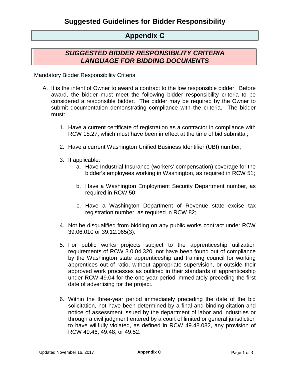### **Appendix C**

### *SUGGESTED BIDDER RESPONSIBILITY CRITERIA LANGUAGE FOR BIDDING DOCUMENTS*

#### Mandatory Bidder Responsibility Criteria

- A. It is the intent of Owner to award a contract to the low responsible bidder. Before award, the bidder must meet the following bidder responsibility criteria to be considered a responsible bidder. The bidder may be required by the Owner to submit documentation demonstrating compliance with the criteria. The bidder must:
	- 1. Have a current certificate of registration as a contractor in compliance with RCW 18.27, which must have been in effect at the time of bid submittal;
	- 2. Have a current Washington Unified Business Identifier (UBI) number;
	- 3. If applicable:
		- a. Have Industrial Insurance (workers' compensation) coverage for the bidder's employees working in Washington, as required in RCW 51;
		- b. Have a Washington Employment Security Department number, as required in RCW 50;
		- c. Have a Washington Department of Revenue state excise tax registration number, as required in RCW 82;
	- 4. Not be disqualified from bidding on any public works contract under RCW 39.06.010 or 39.12.065(3).
	- 5. For public works projects subject to the apprenticeship utilization requirements of RCW 3.0.04.320, not have been found out of compliance by the Washington state apprenticeship and training council for working apprentices out of ratio, without appropriate supervision, or outside their approved work processes as outlined in their standards of apprenticeship under RCW 49.04 for the one-year period immediately preceding the first date of advertising for the project.
	- 6. Within the three-year period immediately preceding the date of the bid solicitation, not have been determined by a final and binding citation and notice of assessment issued by the department of labor and industries or through a civil judgment entered by a court of limited or general jurisdiction to have willfully violated, as defined in RCW 49.48.082, any provision of RCW 49.46, 49.48, or 49.52.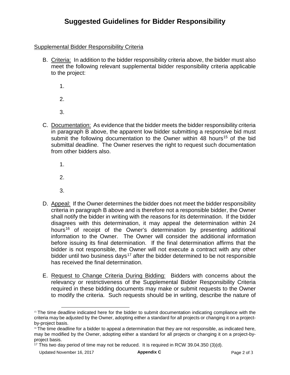#### Supplemental Bidder Responsibility Criteria

- B. Criteria: In addition to the bidder responsibility criteria above, the bidder must also meet the following relevant supplemental bidder responsibility criteria applicable to the project:
	- 1.

2.

- 3.
- C. Documentation: As evidence that the bidder meets the bidder responsibility criteria in paragraph B above, the apparent low bidder submitting a responsive bid must submit the following documentation to the Owner within 48 hours<sup>[15](#page-28-0)</sup> of the bid submittal deadline. The Owner reserves the right to request such documentation from other bidders also.
	- 1.
	- 2.
	- 3.
- D. Appeal: If the Owner determines the bidder does not meet the bidder responsibility criteria in paragraph B above and is therefore not a responsible bidder, the Owner shall notify the bidder in writing with the reasons for its determination. If the bidder disagrees with this determination, it may appeal the determination within 24 hours<sup>16</sup> of receipt of the Owner's determination by presenting additional information to the Owner. The Owner will consider the additional information before issuing its final determination. If the final determination affirms that the bidder is not responsible, the Owner will not execute a contract with any other bidder until two business days<sup>[17](#page-28-2)</sup> after the bidder determined to be not responsible has received the final determination.
- E. Request to Change Criteria During Bidding: Bidders with concerns about the relevancy or restrictiveness of the Supplemental Bidder Responsibility Criteria required in these bidding documents may make or submit requests to the Owner to modify the criteria. Such requests should be in writing, describe the nature of

<span id="page-28-0"></span><sup>&</sup>lt;sup>15</sup> The time deadline indicated here for the bidder to submit documentation indicating compliance with the criteria may be adjusted by the Owner, adopting either a standard for all projects or changing it on a projectby-project basis.

<span id="page-28-1"></span><sup>&</sup>lt;sup>16</sup> The time deadline for a bidder to appeal a determination that they are not responsible, as indicated here, may be modified by the Owner, adopting either a standard for all projects or changing it on a project-byproject basis.

<span id="page-28-2"></span><sup>&</sup>lt;sup>17</sup> This two day period of time may not be reduced. It is required in RCW 39.04.350 (3)(d).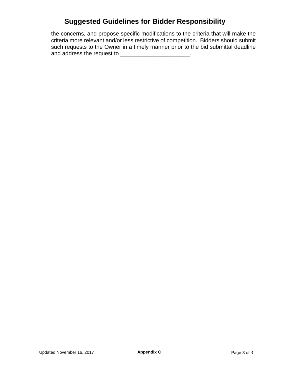the concerns, and propose specific modifications to the criteria that will make the criteria more relevant and/or less restrictive of competition. Bidders should submit such requests to the Owner in a timely manner prior to the bid submittal deadline and address the request to \_\_\_\_\_\_\_\_\_\_\_\_\_\_\_\_\_\_\_\_\_\_\_.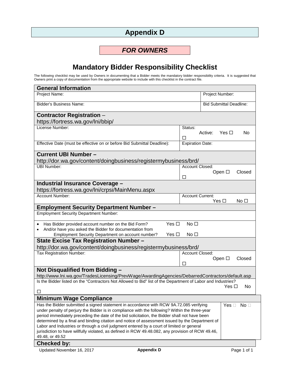# **Appendix D**

### *FOR OWNERS*

# **Mandatory Bidder Responsibility Checklist**

<span id="page-30-0"></span>The following checklist may be used by Owners in documenting that a Bidder meets the mandatory bidder responsibility criteria. It is suggested that Owners print a copy of documentation from the appropriate website to include with this checklist in the contract file.

| <b>General Information</b>                                                                                                                                                                                                                                                                                                                                                                                                                                                                                                                                                                                                              |                                                     |  |  |
|-----------------------------------------------------------------------------------------------------------------------------------------------------------------------------------------------------------------------------------------------------------------------------------------------------------------------------------------------------------------------------------------------------------------------------------------------------------------------------------------------------------------------------------------------------------------------------------------------------------------------------------------|-----------------------------------------------------|--|--|
| Project Name:                                                                                                                                                                                                                                                                                                                                                                                                                                                                                                                                                                                                                           | Project Number:                                     |  |  |
| <b>Bidder's Business Name:</b>                                                                                                                                                                                                                                                                                                                                                                                                                                                                                                                                                                                                          | <b>Bid Submittal Deadline:</b>                      |  |  |
| <b>Contractor Registration -</b>                                                                                                                                                                                                                                                                                                                                                                                                                                                                                                                                                                                                        |                                                     |  |  |
| https://fortress.wa.gov/lni/bbip/                                                                                                                                                                                                                                                                                                                                                                                                                                                                                                                                                                                                       |                                                     |  |  |
| License Number:                                                                                                                                                                                                                                                                                                                                                                                                                                                                                                                                                                                                                         | Status:<br>Yes $\square$<br>Active:<br>No.<br>П     |  |  |
| Effective Date (must be effective on or before Bid Submittal Deadline):                                                                                                                                                                                                                                                                                                                                                                                                                                                                                                                                                                 | <b>Expiration Date:</b>                             |  |  |
| <b>Current UBI Number -</b>                                                                                                                                                                                                                                                                                                                                                                                                                                                                                                                                                                                                             |                                                     |  |  |
| http://dor.wa.gov/content/doingbusiness/registermybusiness/brd/                                                                                                                                                                                                                                                                                                                                                                                                                                                                                                                                                                         |                                                     |  |  |
| <b>UBI Number:</b>                                                                                                                                                                                                                                                                                                                                                                                                                                                                                                                                                                                                                      | Account Closed:<br>Open □<br>Closed<br>□            |  |  |
| <b>Industrial Insurance Coverage -</b>                                                                                                                                                                                                                                                                                                                                                                                                                                                                                                                                                                                                  |                                                     |  |  |
| https://fortress.wa.gov/lni/crpsi/MainMenu.aspx                                                                                                                                                                                                                                                                                                                                                                                                                                                                                                                                                                                         |                                                     |  |  |
| <b>Account Number:</b>                                                                                                                                                                                                                                                                                                                                                                                                                                                                                                                                                                                                                  | <b>Account Current:</b><br>Yes □<br>No <sub>1</sub> |  |  |
| <b>Employment Security Department Number -</b>                                                                                                                                                                                                                                                                                                                                                                                                                                                                                                                                                                                          |                                                     |  |  |
| <b>Employment Security Department Number:</b>                                                                                                                                                                                                                                                                                                                                                                                                                                                                                                                                                                                           |                                                     |  |  |
| Yes $\square$<br>No <sub>1</sub><br>Has Bidder provided account number on the Bid Form?<br>And/or have you asked the Bidder for documentation from<br>No <sub>1</sub><br>Employment Security Department on account number?<br>Yes $\square$                                                                                                                                                                                                                                                                                                                                                                                             |                                                     |  |  |
| State Excise Tax Registration Number -                                                                                                                                                                                                                                                                                                                                                                                                                                                                                                                                                                                                  |                                                     |  |  |
| http://dor.wa.gov/content/doingbusiness/registermybusiness/brd/                                                                                                                                                                                                                                                                                                                                                                                                                                                                                                                                                                         |                                                     |  |  |
| Tax Registration Number:                                                                                                                                                                                                                                                                                                                                                                                                                                                                                                                                                                                                                | Account Closed:<br>Open □<br>Closed<br>□            |  |  |
| Not Disqualified from Bidding -                                                                                                                                                                                                                                                                                                                                                                                                                                                                                                                                                                                                         |                                                     |  |  |
| http://www.lni.wa.gov/TradesLicensing/PrevWage/AwardingAgencies/DebarredContractors/default.asp                                                                                                                                                                                                                                                                                                                                                                                                                                                                                                                                         |                                                     |  |  |
| Is the Bidder listed on the "Contractors Not Allowed to Bid" list of the Department of Labor and Industries?                                                                                                                                                                                                                                                                                                                                                                                                                                                                                                                            | Yes $\square$<br>No.                                |  |  |
| □                                                                                                                                                                                                                                                                                                                                                                                                                                                                                                                                                                                                                                       |                                                     |  |  |
| <b>Minimum Wage Compliance</b>                                                                                                                                                                                                                                                                                                                                                                                                                                                                                                                                                                                                          |                                                     |  |  |
| Has the Bidder submitted a signed statement in accordance with RCW 9A.72.085 verifying<br>under penalty of perjury the Bidder is in compliance with the following? Within the three-year<br>period immediately preceding the date of the bid solicitation, the Bidder shall not have been<br>determined by a final and binding citation and notice of assessment issued by the Department of<br>Labor and Industries or through a civil judgment entered by a court of limited or general<br>jurisdiction to have willfully violated, as defined in RCW 49.48.082, any provision of RCW 49.46,<br>49.48, or 49.52<br><b>Checked by:</b> | No <sub>1</sub><br>Yes $\square$                    |  |  |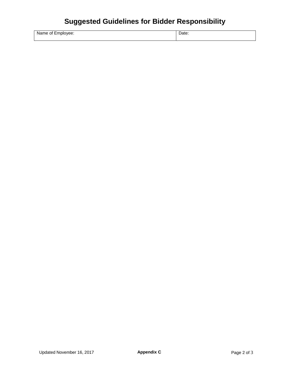| Name of Employee: |  |  |
|-------------------|--|--|
|                   |  |  |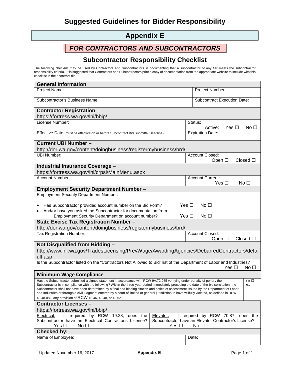# **Appendix E**

### *FOR CONTRACTORS AND SUBCONTRACTORS*

#### **Subcontractor Responsibility Checklist**

<span id="page-32-0"></span>The following checklist may be used by Contractors and Subcontractors in documenting that a subcontractor of any tier meets the subcontractor responsibility criteria. It is suggested that Contractors and Subcontractors print a copy of documentation from the appropriate website to include with this checklist in their contract file.

| <b>General Information</b>                                                                                                                                                                                                                                                                |                                                                                                                                                                                                                                                                                                               |                                                         |  |  |
|-------------------------------------------------------------------------------------------------------------------------------------------------------------------------------------------------------------------------------------------------------------------------------------------|---------------------------------------------------------------------------------------------------------------------------------------------------------------------------------------------------------------------------------------------------------------------------------------------------------------|---------------------------------------------------------|--|--|
| Project Name:                                                                                                                                                                                                                                                                             |                                                                                                                                                                                                                                                                                                               | Project Number:                                         |  |  |
| Subcontractor's Business Name:                                                                                                                                                                                                                                                            |                                                                                                                                                                                                                                                                                                               | <b>Subcontract Execution Date:</b>                      |  |  |
| <b>Contractor Registration -</b>                                                                                                                                                                                                                                                          |                                                                                                                                                                                                                                                                                                               |                                                         |  |  |
| https://fortress.wa.gov/lni/bbip/                                                                                                                                                                                                                                                         |                                                                                                                                                                                                                                                                                                               |                                                         |  |  |
| License Number:                                                                                                                                                                                                                                                                           |                                                                                                                                                                                                                                                                                                               | Status:<br>Active:<br>Yes $\Box$<br>No □                |  |  |
| Effective Date (must be effective on or before Subcontract Bid Submittal Deadline):                                                                                                                                                                                                       |                                                                                                                                                                                                                                                                                                               | <b>Expiration Date:</b>                                 |  |  |
| <b>Current UBI Number -</b><br>http://dor.wa.gov/content/doingbusiness/registermybusiness/brd/                                                                                                                                                                                            |                                                                                                                                                                                                                                                                                                               |                                                         |  |  |
| <b>UBI Number:</b>                                                                                                                                                                                                                                                                        |                                                                                                                                                                                                                                                                                                               | Account Closed:                                         |  |  |
|                                                                                                                                                                                                                                                                                           |                                                                                                                                                                                                                                                                                                               | Open □<br>$Closed$ $\square$                            |  |  |
| <b>Industrial Insurance Coverage -</b><br>https://fortress.wa.gov/lni/crpsi/MainMenu.aspx                                                                                                                                                                                                 |                                                                                                                                                                                                                                                                                                               |                                                         |  |  |
| <b>Account Number:</b>                                                                                                                                                                                                                                                                    |                                                                                                                                                                                                                                                                                                               | <b>Account Current:</b>                                 |  |  |
|                                                                                                                                                                                                                                                                                           |                                                                                                                                                                                                                                                                                                               | $Yes \Box$<br>No <sub>1</sub>                           |  |  |
| <b>Employment Security Department Number -</b>                                                                                                                                                                                                                                            |                                                                                                                                                                                                                                                                                                               |                                                         |  |  |
| <b>Employment Security Department Number:</b>                                                                                                                                                                                                                                             |                                                                                                                                                                                                                                                                                                               |                                                         |  |  |
| Has Subcontractor provided account number on the Bid Form?<br>$\bullet$                                                                                                                                                                                                                   | Yes $\square$                                                                                                                                                                                                                                                                                                 | No <sub>1</sub>                                         |  |  |
| And/or have you asked the Subcontractor for documentation from<br>٠                                                                                                                                                                                                                       |                                                                                                                                                                                                                                                                                                               |                                                         |  |  |
| Employment Security Department on account number?                                                                                                                                                                                                                                         | Yes $\square$                                                                                                                                                                                                                                                                                                 | No <sub>1</sub>                                         |  |  |
| State Excise Tax Registration Number -                                                                                                                                                                                                                                                    |                                                                                                                                                                                                                                                                                                               |                                                         |  |  |
| http://dor.wa.gov/content/doingbusiness/registermybusiness/brd/                                                                                                                                                                                                                           |                                                                                                                                                                                                                                                                                                               |                                                         |  |  |
| Tax Registration Number:                                                                                                                                                                                                                                                                  |                                                                                                                                                                                                                                                                                                               | Account Closed:<br>Open $\square$<br>$Closed$ $\square$ |  |  |
| Not Disqualified from Bidding -                                                                                                                                                                                                                                                           |                                                                                                                                                                                                                                                                                                               |                                                         |  |  |
|                                                                                                                                                                                                                                                                                           |                                                                                                                                                                                                                                                                                                               |                                                         |  |  |
| http://www.lni.wa.gov/TradesLicensing/PrevWage/AwardingAgencies/DebarredContractors/defa<br>ult.asp                                                                                                                                                                                       |                                                                                                                                                                                                                                                                                                               |                                                         |  |  |
| Is the Subcontractor listed on the "Contractors Not Allowed to Bid" list of the Department of Labor and Industries?                                                                                                                                                                       |                                                                                                                                                                                                                                                                                                               | Yes $\Box$<br>No □                                      |  |  |
| <b>Minimum Wage Compliance</b>                                                                                                                                                                                                                                                            |                                                                                                                                                                                                                                                                                                               |                                                         |  |  |
|                                                                                                                                                                                                                                                                                           | Has the Subcontractor submitted a signed statement in accordance with RCW 9A.72.085 verifying under penalty of perjury the<br>Yes $\square$<br>Subcontractor is in compliance with the following? Within the three-year period immediately preceding the date of the bid solicitation, the<br>No <sub>1</sub> |                                                         |  |  |
| Subcontractor shall not have been determined by a final and binding citation and notice of assessment issued by the Department of Labor<br>and Industries or through a civil judgment entered by a court of limited or general jurisdiction to have willfully violated, as defined in RCW |                                                                                                                                                                                                                                                                                                               |                                                         |  |  |
| 49.48.082, any provision of RCW 49.46, 49.48, or 49.52                                                                                                                                                                                                                                    |                                                                                                                                                                                                                                                                                                               |                                                         |  |  |
| <b>Contractor Licenses -</b>                                                                                                                                                                                                                                                              |                                                                                                                                                                                                                                                                                                               |                                                         |  |  |
| https://fortress.wa.gov/lni/bbip/                                                                                                                                                                                                                                                         |                                                                                                                                                                                                                                                                                                               |                                                         |  |  |
| If required by RCW 19.28, does the<br>Electrical:<br>If required by RCW 70.87, does the<br>Elevator:                                                                                                                                                                                      |                                                                                                                                                                                                                                                                                                               |                                                         |  |  |
| Subcontractor have an Electrical Contractor's License?<br>Subcontractor have an Elevator Contractor's License?<br>Yes $\square$<br>No <sub>1</sub><br>No <sub>1</sub><br>Yes $\Box$                                                                                                       |                                                                                                                                                                                                                                                                                                               |                                                         |  |  |
| <b>Checked by:</b>                                                                                                                                                                                                                                                                        |                                                                                                                                                                                                                                                                                                               |                                                         |  |  |
| Name of Employee:                                                                                                                                                                                                                                                                         |                                                                                                                                                                                                                                                                                                               | Date:                                                   |  |  |
|                                                                                                                                                                                                                                                                                           |                                                                                                                                                                                                                                                                                                               |                                                         |  |  |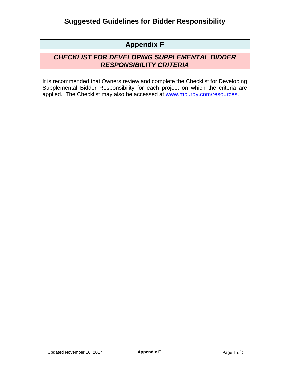# **Appendix F**

### *CHECKLIST FOR DEVELOPING SUPPLEMENTAL BIDDER RESPONSIBILITY CRITERIA*

It is recommended that Owners review and complete the Checklist for Developing Supplemental Bidder Responsibility for each project on which the criteria are applied. The Checklist may also be accessed at [www.mpurdy.com/resources.](http://www.mpurdy.com/resources)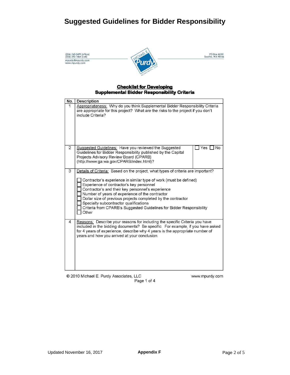| (206) 762-2699 (office)<br>(206) 295-1464 (cell) | PO Box 46181<br>Seattle, WA 98146 |
|--------------------------------------------------|-----------------------------------|
| mpurdy@mpurdy.com<br>www.mpurdy.com              |                                   |

#### **Checklist for Developing Supplemental Bidder Responsibility Criteria**

| No.            | Description                                                                                                                                                                                                                                                                                                                                                                                                                                                                                          |
|----------------|------------------------------------------------------------------------------------------------------------------------------------------------------------------------------------------------------------------------------------------------------------------------------------------------------------------------------------------------------------------------------------------------------------------------------------------------------------------------------------------------------|
| 1              | Appropriateness: Why do you think Supplemental Bidder Responsibility Criteria<br>are appropriate for this project? What are the risks to the project if you don't<br>include Criteria?                                                                                                                                                                                                                                                                                                               |
| $\overline{2}$ | Suggested Guidelines: Have you reviewed the Suggested<br>Yes<br>No<br>Guidelines for Bidder Responsibility published by the Capital<br>Projects Advisory Review Board (CPARB)<br>(http://www.ga.wa.gov/CPARB/index.html)?                                                                                                                                                                                                                                                                            |
| 3              | Details of Criteria: Based on the project, what types of criteria are important?<br>Contractor's experience in similar type of work (must be defined)<br>Experience of contractor's key personnel<br>Contractor's and their key personnel's experience<br>Number of years of experience of the contractor<br>Dollar size of previous projects completed by the contractor<br>Specialty subcontractor qualifications<br>Criteria from CPARB's Suggested Guidelines for Bidder Responsibility<br>Other |
| 4              | Reasons: Describe your reasons for including the specific Criteria you have<br>included in the bidding documents? Be specific. For example, if you have asked<br>for 4 years of experience, describe why 4 years is the appropriate number of<br>years and how you arrived at your conclusion.                                                                                                                                                                                                       |
|                | © 2010 Michael E. Purdy Associates, LLC<br>www.mpurdy.com                                                                                                                                                                                                                                                                                                                                                                                                                                            |



Updated November 16, 2017 **Appendix F** Page 2 of 5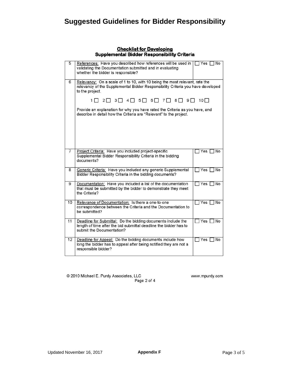#### **Checklist for Developing Supplemental Bidder Responsibility Criteria**

| 5              | References: Have you described how references will be used in $\Box$ Yes $\Box$ No                                                                                                |                                |  |  |
|----------------|-----------------------------------------------------------------------------------------------------------------------------------------------------------------------------------|--------------------------------|--|--|
|                | validating the Documentation submitted and in evaluating<br>whether the bidder is responsible?                                                                                    |                                |  |  |
| 6              |                                                                                                                                                                                   |                                |  |  |
|                | Relevancy: On a scale of 1 to 10, with 10 being the most relevant, rate the<br>relevancy of the Supplemental Bidder Responsibility Criteria you have developed<br>to the project. |                                |  |  |
|                | $1 \square$ $2 \square$ $3 \square$ $4 \square$ $5 \square$ $6 \square$ $7 \square$ $8 \square$ $9 \square$ $10 \square$                                                          |                                |  |  |
|                | Provide an explanation for why you have rated the Criteria as you have, and<br>describe in detail how the Criteria are "Relevant" to the project.                                 |                                |  |  |
|                |                                                                                                                                                                                   |                                |  |  |
| $\overline{7}$ | Project Criteria: Have you included project-specific<br>Supplemental Bidder Responsibility Criteria in the bidding<br>documents?                                                  | TYes □ No                      |  |  |
| 8              | Generic Criteria: Have you included any generic Supplemental<br>Bidder Responsibility Criteria in the bidding documents?                                                          | $\Box$ Yes $\Box$<br><b>No</b> |  |  |
| 9              | Documentation: Have you included a list of the documentation<br>that must be submitted by the bidder to demonstrate they meet<br>the Criteria?                                    | $\Box$ Yes $\Box$ No           |  |  |
| 10             | Relevance of Documentation: Is there a one-to-one<br>correspondence between the Criteria and the Documentation to<br>be submitted?                                                | $\Box$ Yes $\Box$ No           |  |  |
| 11             | Deadline for Submittal: Do the bidding documents include the<br>length of time after the bid submittal deadline the bidder has to<br>submit the Documentation?                    | $\Box$ Yes $\Box$ No           |  |  |
| 12             | Deadline for Appeal: Do the bidding documents include how<br>long the bidder has to appeal after being notified they are not a<br>responsible bidder?                             | $\Box$ Yes $\lceil$<br>∩ No    |  |  |

@ 2010 Michael E. Purdy Associates, LLC Page 2 of 4 www.mpurdy.com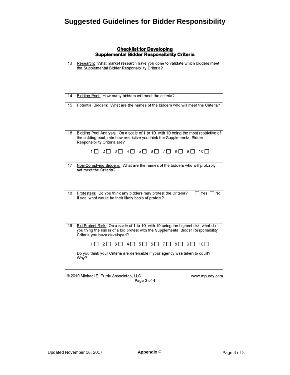| 13 | Research: What market research have you done to validate which bidders meet<br>the Supplemental Bidder Responsibility Criteria?                                                                                                                                                                                             |          |
|----|-----------------------------------------------------------------------------------------------------------------------------------------------------------------------------------------------------------------------------------------------------------------------------------------------------------------------------|----------|
| 14 | Bidding Pool: How many bidders will meet the criteria?                                                                                                                                                                                                                                                                      |          |
| 15 | Potential Bidders: What are the names of the bidders who will meet the Criteria?                                                                                                                                                                                                                                            |          |
| 16 | Bidding Pool Analysis: On a scale of 1 to 10, with 10 being the most restrictive of<br>the bidding pool, rate how restrictive you think the Supplemental Bidder<br>Responsibility Criteria are?<br>$1 \square$ $2 \square$ $3 \square$ $4 \square$ $5 \square$ $6 \square$ $7 \square$ $8 \square$ $9 \square$ $10 \square$ |          |
| 17 | Non-Complying Bidders: What are the names of the bidders who will probably<br>not meet the Criteria?                                                                                                                                                                                                                        |          |
| 18 | Protesters: Do you think any bidders may protest the Criteria?<br>If yes, what would be their likely basis of protest?                                                                                                                                                                                                      | Yes   No |
| 19 | Bid Protest Risk: On a scale of 1 to 10, with 10 being the highest risk, what do<br>you thing the risk is of a bid protest with the Supplemental Bidder Responsibility<br>Criteria you have developed?<br>$1 \square$ $2 \square$ $3 \square$ $4 \square$ $5 \square$ $6 \square$ $7 \square$<br>8 9 1<br>$10\Box$          |          |
|    | Do you think your Criteria are defensible if your agency was taken to court?<br>Why?                                                                                                                                                                                                                                        |          |
|    |                                                                                                                                                                                                                                                                                                                             |          |

#### **Checklist for Developing Supplemental Bidder Responsibility Criteria**

@ 2010 Michael E. Purdy Associates, LLC Page 3 of 4 www.mpurdy.com